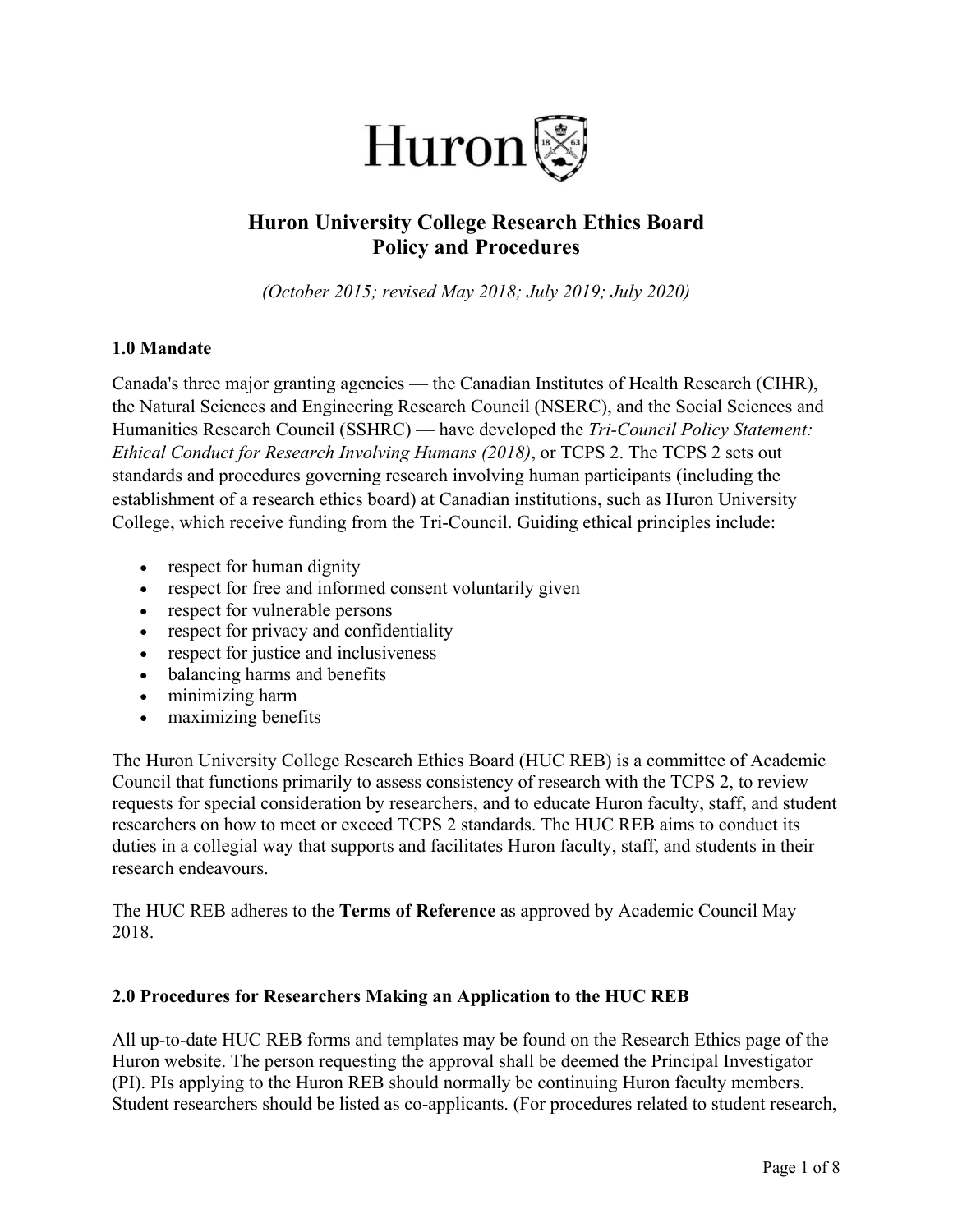

# **Huron University College Research Ethics Board Policy and Procedures**

*(October 2015; revised May 2018; July 2019; July 2020)*

### **1.0 Mandate**

Canada's three major granting agencies — the Canadian Institutes of Health Research (CIHR), the Natural Sciences and Engineering Research Council (NSERC), and the Social Sciences and Humanities Research Council (SSHRC) — have developed the *Tri-Council Policy Statement: Ethical Conduct for Research Involving Humans (2018)*, or TCPS 2. The TCPS 2 sets out standards and procedures governing research involving human participants (including the establishment of a research ethics board) at Canadian institutions, such as Huron University College, which receive funding from the Tri-Council. Guiding ethical principles include:

- respect for human dignity
- respect for free and informed consent voluntarily given
- respect for vulnerable persons
- respect for privacy and confidentiality
- respect for justice and inclusiveness
- balancing harms and benefits
- minimizing harm
- maximizing benefits

The Huron University College Research Ethics Board (HUC REB) is a committee of Academic Council that functions primarily to assess consistency of research with the TCPS 2, to review requests for special consideration by researchers, and to educate Huron faculty, staff, and student researchers on how to meet or exceed TCPS 2 standards. The HUC REB aims to conduct its duties in a collegial way that supports and facilitates Huron faculty, staff, and students in their research endeavours.

The HUC REB adheres to the **Terms of Reference** as approved by Academic Council May 2018.

#### **2.0 Procedures for Researchers Making an Application to the HUC REB**

All up-to-date HUC REB forms and templates may be found on the Research Ethics page of the Huron website. The person requesting the approval shall be deemed the Principal Investigator (PI). PIs applying to the Huron REB should normally be continuing Huron faculty members. Student researchers should be listed as co-applicants. (For procedures related to student research,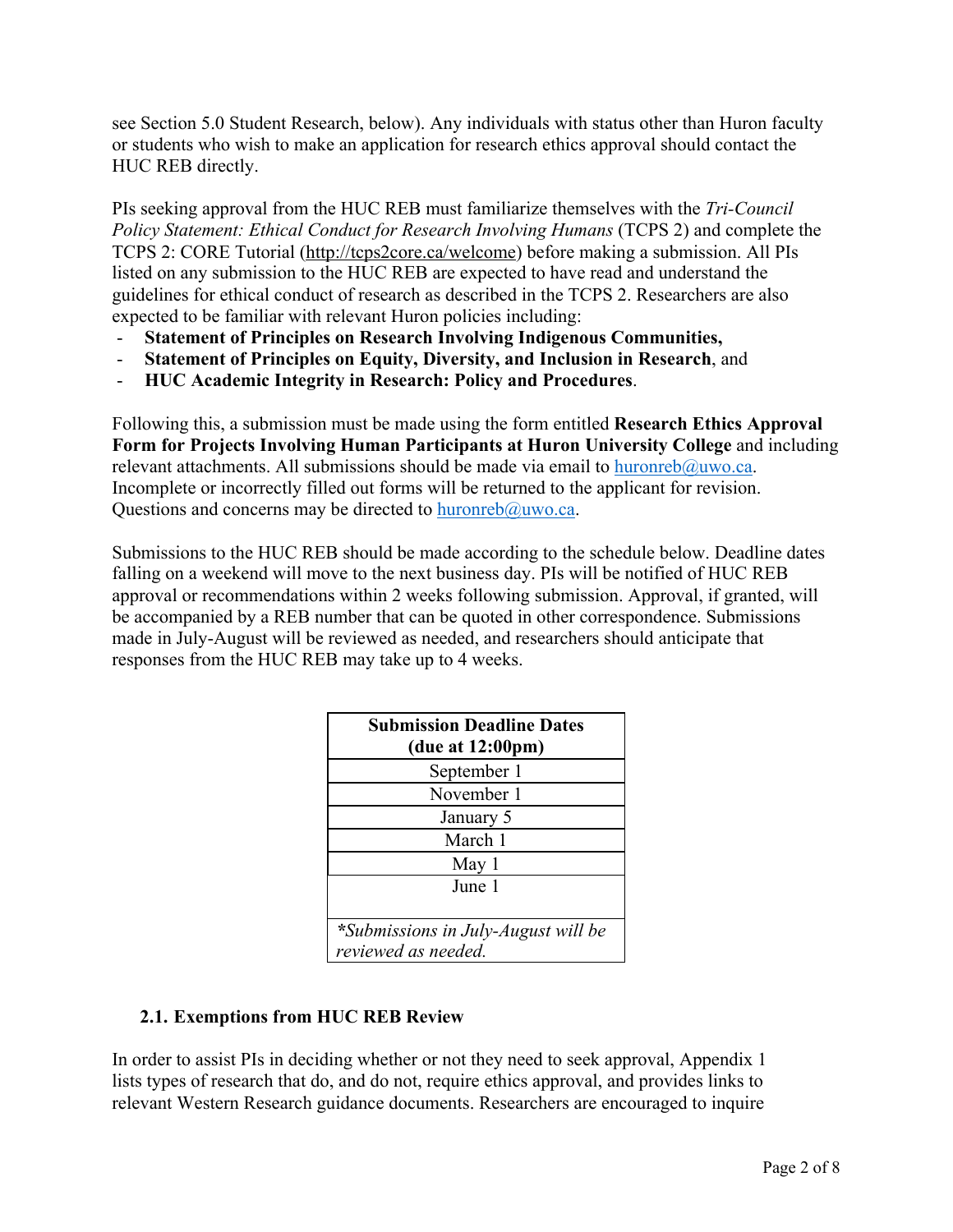see Section 5.0 Student Research, below). Any individuals with status other than Huron faculty or students who wish to make an application for research ethics approval should contact the HUC REB directly.

PIs seeking approval from the HUC REB must familiarize themselves with the *Tri-Council Policy Statement: Ethical Conduct for Research Involving Humans* (TCPS 2) and complete the TCPS 2: CORE Tutorial (http://tcps2core.ca/welcome) before making a submission. All PIs listed on any submission to the HUC REB are expected to have read and understand the guidelines for ethical conduct of research as described in the TCPS 2. Researchers are also expected to be familiar with relevant Huron policies including:

- **Statement of Principles on Research Involving Indigenous Communities,**
- **Statement of Principles on Equity, Diversity, and Inclusion in Research**, and
- **HUC Academic Integrity in Research: Policy and Procedures**.

Following this, a submission must be made using the form entitled **Research Ethics Approval Form for Projects Involving Human Participants at Huron University College** and including relevant attachments. All submissions should be made via email to huronreb@uwo.ca. Incomplete or incorrectly filled out forms will be returned to the applicant for revision. Questions and concerns may be directed to huronreb@uwo.ca.

Submissions to the HUC REB should be made according to the schedule below. Deadline dates falling on a weekend will move to the next business day. PIs will be notified of HUC REB approval or recommendations within 2 weeks following submission. Approval, if granted, will be accompanied by a REB number that can be quoted in other correspondence. Submissions made in July-August will be reviewed as needed, and researchers should anticipate that responses from the HUC REB may take up to 4 weeks.

| <b>Submission Deadline Dates</b><br>(due at $12:00 \text{pm}$ ) |
|-----------------------------------------------------------------|
| September 1                                                     |
| November 1                                                      |
| January 5                                                       |
| March 1                                                         |
| May 1                                                           |
| June 1                                                          |
|                                                                 |
| *Submissions in July-August will be                             |
| reviewed as needed.                                             |

### **2.1. Exemptions from HUC REB Review**

In order to assist PIs in deciding whether or not they need to seek approval, Appendix 1 lists types of research that do, and do not, require ethics approval, and provides links to relevant Western Research guidance documents. Researchers are encouraged to inquire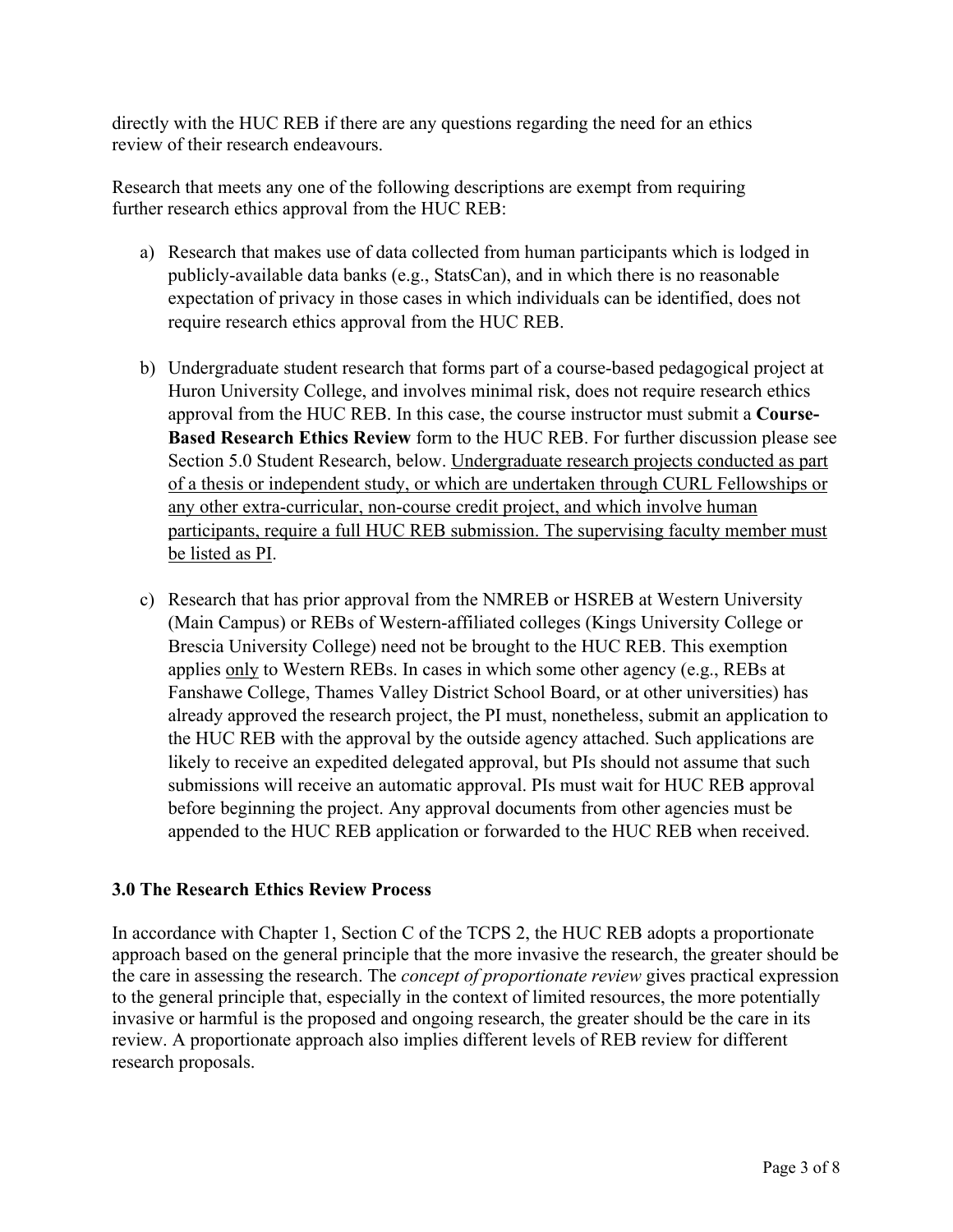directly with the HUC REB if there are any questions regarding the need for an ethics review of their research endeavours.

Research that meets any one of the following descriptions are exempt from requiring further research ethics approval from the HUC REB:

- a) Research that makes use of data collected from human participants which is lodged in publicly-available data banks (e.g., StatsCan), and in which there is no reasonable expectation of privacy in those cases in which individuals can be identified, does not require research ethics approval from the HUC REB.
- b) Undergraduate student research that forms part of a course-based pedagogical project at Huron University College, and involves minimal risk, does not require research ethics approval from the HUC REB. In this case, the course instructor must submit a **Course-Based Research Ethics Review** form to the HUC REB. For further discussion please see Section 5.0 Student Research, below. Undergraduate research projects conducted as part of a thesis or independent study, or which are undertaken through CURL Fellowships or any other extra-curricular, non-course credit project, and which involve human participants, require a full HUC REB submission. The supervising faculty member must be listed as PI.
- c) Research that has prior approval from the NMREB or HSREB at Western University (Main Campus) or REBs of Western-affiliated colleges (Kings University College or Brescia University College) need not be brought to the HUC REB. This exemption applies only to Western REBs. In cases in which some other agency (e.g., REBs at Fanshawe College, Thames Valley District School Board, or at other universities) has already approved the research project, the PI must, nonetheless, submit an application to the HUC REB with the approval by the outside agency attached. Such applications are likely to receive an expedited delegated approval, but PIs should not assume that such submissions will receive an automatic approval. PIs must wait for HUC REB approval before beginning the project. Any approval documents from other agencies must be appended to the HUC REB application or forwarded to the HUC REB when received.

### **3.0 The Research Ethics Review Process**

In accordance with Chapter 1, Section C of the TCPS 2, the HUC REB adopts a proportionate approach based on the general principle that the more invasive the research, the greater should be the care in assessing the research. The *concept of proportionate review* gives practical expression to the general principle that, especially in the context of limited resources, the more potentially invasive or harmful is the proposed and ongoing research, the greater should be the care in its review. A proportionate approach also implies different levels of REB review for different research proposals.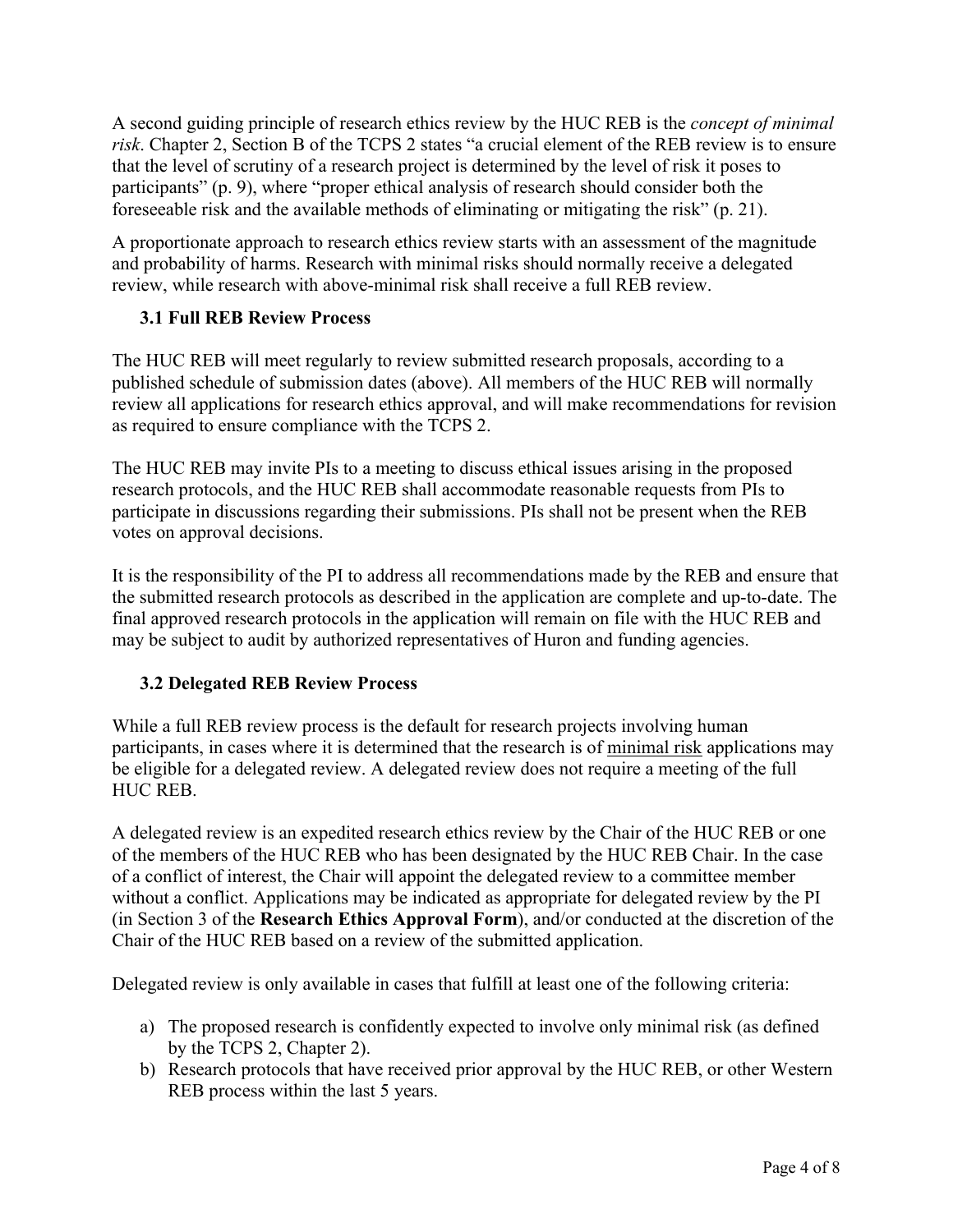A second guiding principle of research ethics review by the HUC REB is the *concept of minimal risk*. Chapter 2, Section B of the TCPS 2 states "a crucial element of the REB review is to ensure that the level of scrutiny of a research project is determined by the level of risk it poses to participants" (p. 9), where "proper ethical analysis of research should consider both the foreseeable risk and the available methods of eliminating or mitigating the risk" (p. 21).

A proportionate approach to research ethics review starts with an assessment of the magnitude and probability of harms. Research with minimal risks should normally receive a delegated review, while research with above-minimal risk shall receive a full REB review.

# **3.1 Full REB Review Process**

The HUC REB will meet regularly to review submitted research proposals, according to a published schedule of submission dates (above). All members of the HUC REB will normally review all applications for research ethics approval, and will make recommendations for revision as required to ensure compliance with the TCPS 2.

The HUC REB may invite PIs to a meeting to discuss ethical issues arising in the proposed research protocols, and the HUC REB shall accommodate reasonable requests from PIs to participate in discussions regarding their submissions. PIs shall not be present when the REB votes on approval decisions.

It is the responsibility of the PI to address all recommendations made by the REB and ensure that the submitted research protocols as described in the application are complete and up-to-date. The final approved research protocols in the application will remain on file with the HUC REB and may be subject to audit by authorized representatives of Huron and funding agencies.

# **3.2 Delegated REB Review Process**

While a full REB review process is the default for research projects involving human participants, in cases where it is determined that the research is of minimal risk applications may be eligible for a delegated review. A delegated review does not require a meeting of the full HUC REB.

A delegated review is an expedited research ethics review by the Chair of the HUC REB or one of the members of the HUC REB who has been designated by the HUC REB Chair. In the case of a conflict of interest, the Chair will appoint the delegated review to a committee member without a conflict. Applications may be indicated as appropriate for delegated review by the PI (in Section 3 of the **Research Ethics Approval Form**), and/or conducted at the discretion of the Chair of the HUC REB based on a review of the submitted application.

Delegated review is only available in cases that fulfill at least one of the following criteria:

- a) The proposed research is confidently expected to involve only minimal risk (as defined by the TCPS 2, Chapter 2).
- b) Research protocols that have received prior approval by the HUC REB, or other Western REB process within the last 5 years.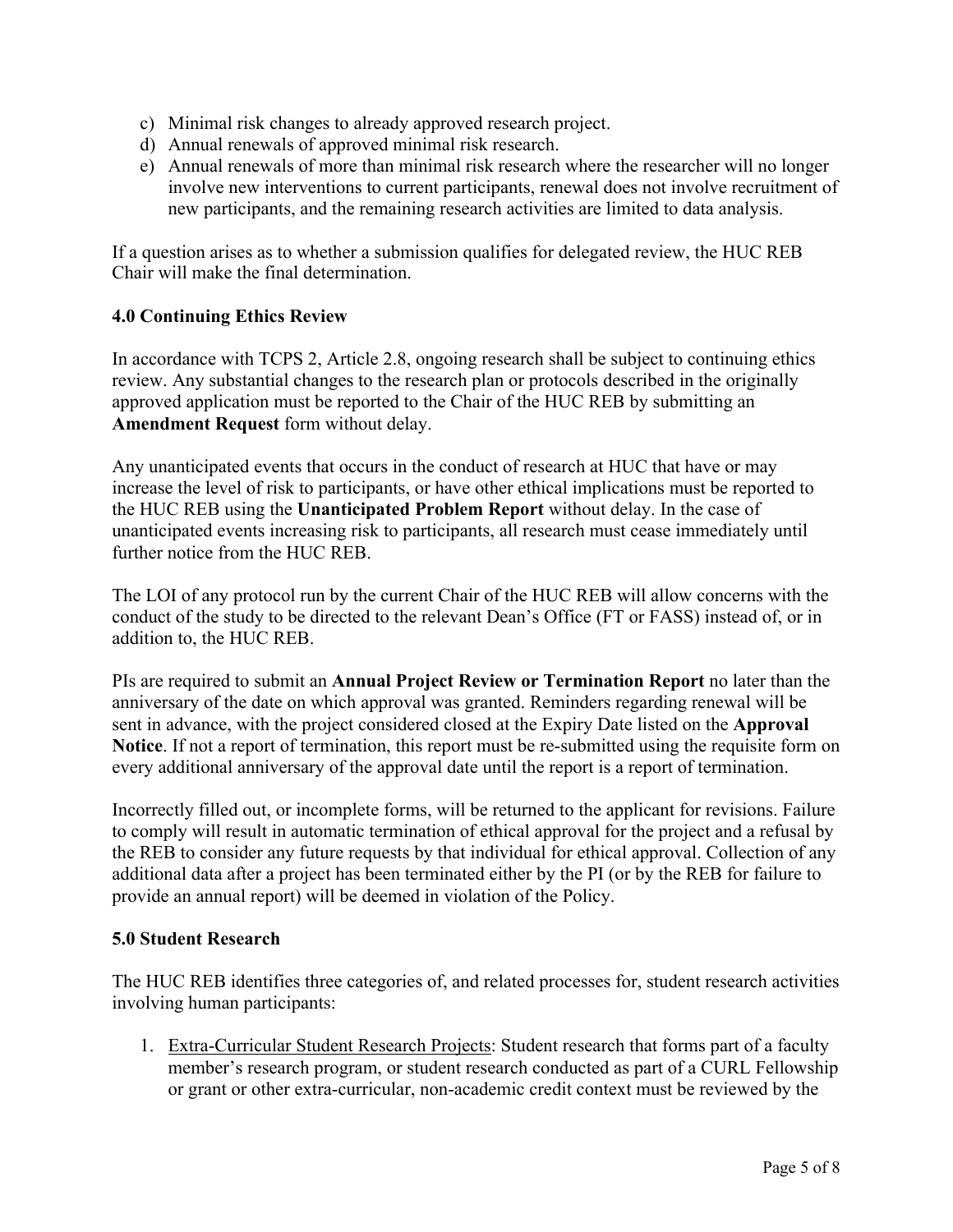- c) Minimal risk changes to already approved research project.
- d) Annual renewals of approved minimal risk research.
- e) Annual renewals of more than minimal risk research where the researcher will no longer involve new interventions to current participants, renewal does not involve recruitment of new participants, and the remaining research activities are limited to data analysis.

If a question arises as to whether a submission qualifies for delegated review, the HUC REB Chair will make the final determination.

#### **4.0 Continuing Ethics Review**

In accordance with TCPS 2, Article 2.8, ongoing research shall be subject to continuing ethics review. Any substantial changes to the research plan or protocols described in the originally approved application must be reported to the Chair of the HUC REB by submitting an **Amendment Request** form without delay.

Any unanticipated events that occurs in the conduct of research at HUC that have or may increase the level of risk to participants, or have other ethical implications must be reported to the HUC REB using the **Unanticipated Problem Report** without delay. In the case of unanticipated events increasing risk to participants, all research must cease immediately until further notice from the HUC REB.

The LOI of any protocol run by the current Chair of the HUC REB will allow concerns with the conduct of the study to be directed to the relevant Dean's Office (FT or FASS) instead of, or in addition to, the HUC REB.

PIs are required to submit an **Annual Project Review or Termination Report** no later than the anniversary of the date on which approval was granted. Reminders regarding renewal will be sent in advance, with the project considered closed at the Expiry Date listed on the **Approval Notice**. If not a report of termination, this report must be re-submitted using the requisite form on every additional anniversary of the approval date until the report is a report of termination.

Incorrectly filled out, or incomplete forms, will be returned to the applicant for revisions. Failure to comply will result in automatic termination of ethical approval for the project and a refusal by the REB to consider any future requests by that individual for ethical approval. Collection of any additional data after a project has been terminated either by the PI (or by the REB for failure to provide an annual report) will be deemed in violation of the Policy.

#### **5.0 Student Research**

The HUC REB identifies three categories of, and related processes for, student research activities involving human participants:

1. Extra-Curricular Student Research Projects: Student research that forms part of a faculty member's research program, or student research conducted as part of a CURL Fellowship or grant or other extra-curricular, non-academic credit context must be reviewed by the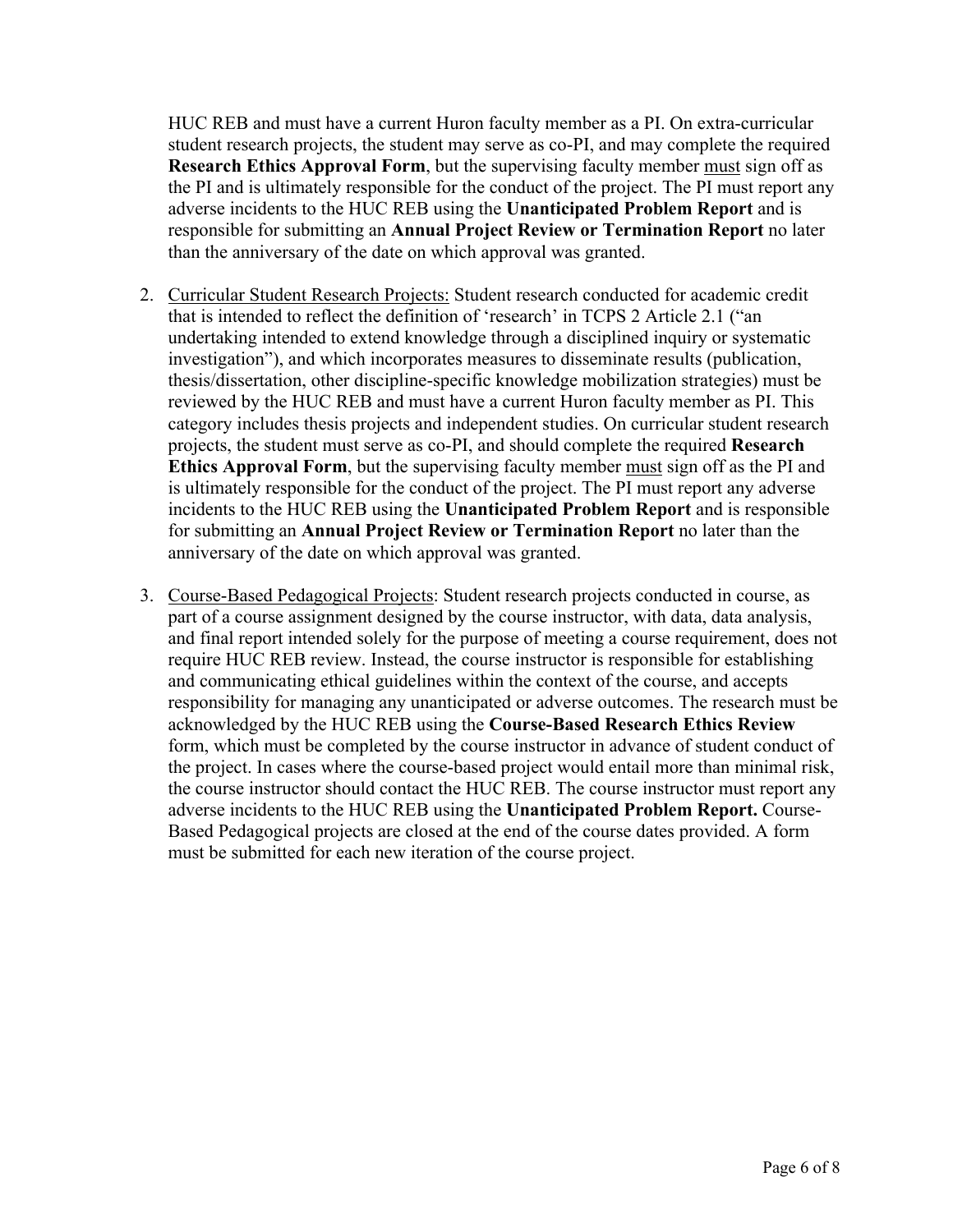HUC REB and must have a current Huron faculty member as a PI. On extra-curricular student research projects, the student may serve as co-PI, and may complete the required **Research Ethics Approval Form**, but the supervising faculty member must sign off as the PI and is ultimately responsible for the conduct of the project. The PI must report any adverse incidents to the HUC REB using the **Unanticipated Problem Report** and is responsible for submitting an **Annual Project Review or Termination Report** no later than the anniversary of the date on which approval was granted.

- 2. Curricular Student Research Projects: Student research conducted for academic credit that is intended to reflect the definition of 'research' in TCPS 2 Article 2.1 ("an undertaking intended to extend knowledge through a disciplined inquiry or systematic investigation"), and which incorporates measures to disseminate results (publication, thesis/dissertation, other discipline-specific knowledge mobilization strategies) must be reviewed by the HUC REB and must have a current Huron faculty member as PI. This category includes thesis projects and independent studies. On curricular student research projects, the student must serve as co-PI, and should complete the required **Research Ethics Approval Form**, but the supervising faculty member must sign off as the PI and is ultimately responsible for the conduct of the project. The PI must report any adverse incidents to the HUC REB using the **Unanticipated Problem Report** and is responsible for submitting an **Annual Project Review or Termination Report** no later than the anniversary of the date on which approval was granted.
- 3. Course-Based Pedagogical Projects: Student research projects conducted in course, as part of a course assignment designed by the course instructor, with data, data analysis, and final report intended solely for the purpose of meeting a course requirement, does not require HUC REB review. Instead, the course instructor is responsible for establishing and communicating ethical guidelines within the context of the course, and accepts responsibility for managing any unanticipated or adverse outcomes. The research must be acknowledged by the HUC REB using the **Course-Based Research Ethics Review** form, which must be completed by the course instructor in advance of student conduct of the project. In cases where the course-based project would entail more than minimal risk, the course instructor should contact the HUC REB. The course instructor must report any adverse incidents to the HUC REB using the **Unanticipated Problem Report.** Course-Based Pedagogical projects are closed at the end of the course dates provided. A form must be submitted for each new iteration of the course project.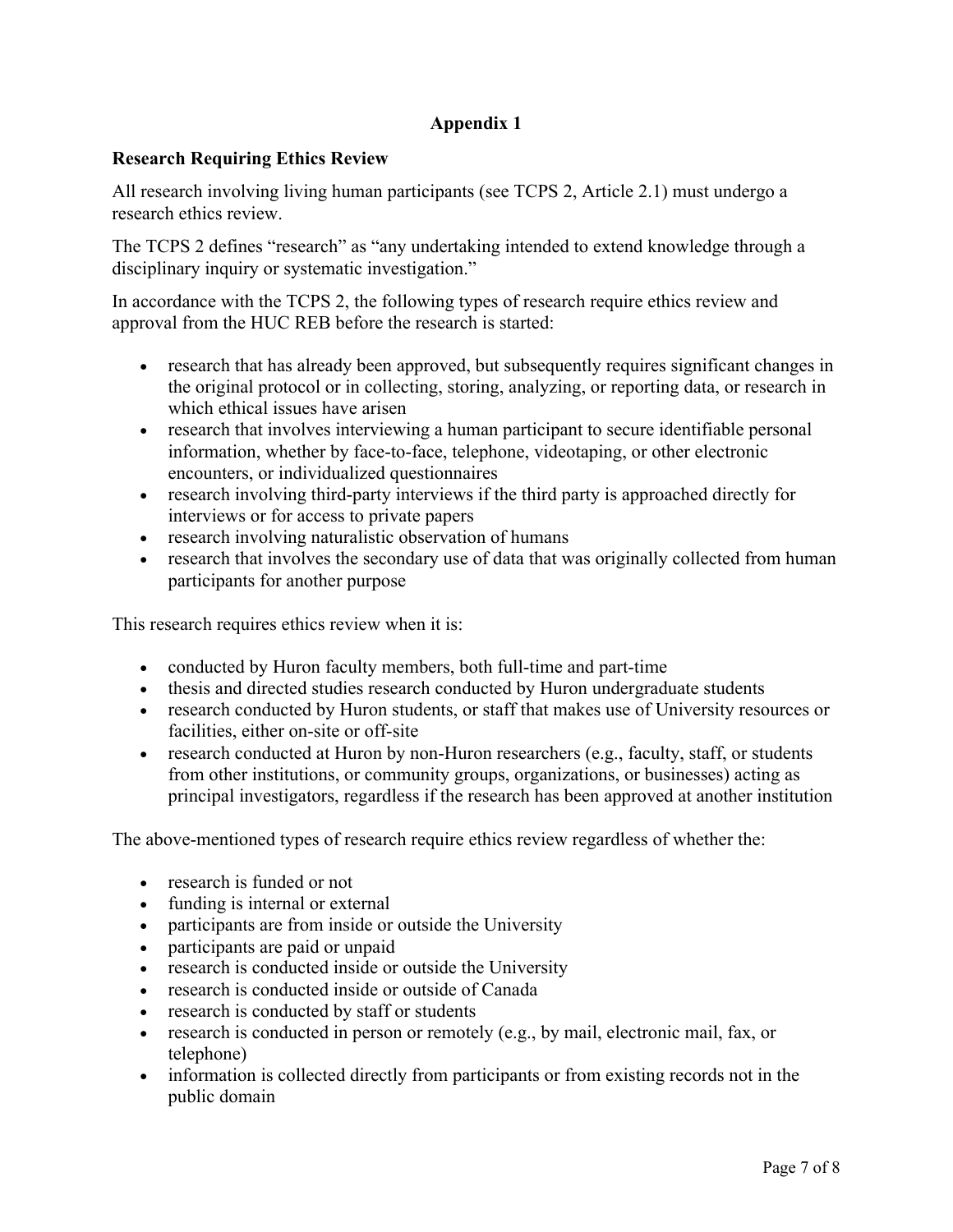# **Appendix 1**

## **Research Requiring Ethics Review**

All research involving living human participants (see TCPS 2, Article 2.1) must undergo a research ethics review.

The TCPS 2 defines "research" as "any undertaking intended to extend knowledge through a disciplinary inquiry or systematic investigation."

In accordance with the TCPS 2, the following types of research require ethics review and approval from the HUC REB before the research is started:

- research that has already been approved, but subsequently requires significant changes in the original protocol or in collecting, storing, analyzing, or reporting data, or research in which ethical issues have arisen
- research that involves interviewing a human participant to secure identifiable personal information, whether by face-to-face, telephone, videotaping, or other electronic encounters, or individualized questionnaires
- research involving third-party interviews if the third party is approached directly for interviews or for access to private papers
- research involving naturalistic observation of humans
- research that involves the secondary use of data that was originally collected from human participants for another purpose

This research requires ethics review when it is:

- conducted by Huron faculty members, both full-time and part-time
- thesis and directed studies research conducted by Huron undergraduate students
- research conducted by Huron students, or staff that makes use of University resources or facilities, either on-site or off-site
- research conducted at Huron by non-Huron researchers (e.g., faculty, staff, or students from other institutions, or community groups, organizations, or businesses) acting as principal investigators, regardless if the research has been approved at another institution

The above-mentioned types of research require ethics review regardless of whether the:

- research is funded or not
- funding is internal or external
- participants are from inside or outside the University
- participants are paid or unpaid
- research is conducted inside or outside the University
- research is conducted inside or outside of Canada
- research is conducted by staff or students
- research is conducted in person or remotely (e.g., by mail, electronic mail, fax, or telephone)
- information is collected directly from participants or from existing records not in the public domain